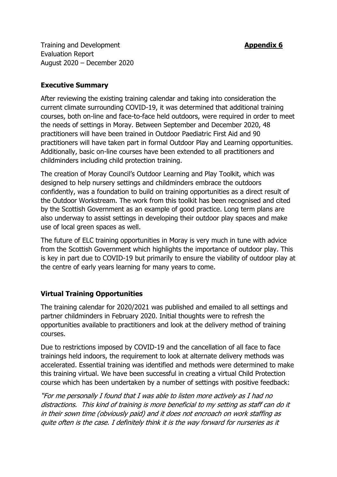**Training and Development <b>Appendix 6 Appendix 6** Evaluation Report August 2020 – December 2020

## **Executive Summary**

After reviewing the existing training calendar and taking into consideration the current climate surrounding COVID-19, it was determined that additional training courses, both on-line and face-to-face held outdoors, were required in order to meet the needs of settings in Moray. Between September and December 2020, 48 practitioners will have been trained in Outdoor Paediatric First Aid and 90 practitioners will have taken part in formal Outdoor Play and Learning opportunities. Additionally, basic on-line courses have been extended to all practitioners and childminders including child protection training.

The creation of Moray Council's Outdoor Learning and Play Toolkit, which was designed to help nursery settings and childminders embrace the outdoors confidently, was a foundation to build on training opportunities as a direct result of the Outdoor Workstream. The work from this toolkit has been recognised and cited by the Scottish Government as an example of good practice. Long term plans are also underway to assist settings in developing their outdoor play spaces and make use of local green spaces as well.

The future of ELC training opportunities in Moray is very much in tune with advice from the Scottish Government which highlights the importance of outdoor play. This is key in part due to COVID-19 but primarily to ensure the viability of outdoor play at the centre of early years learning for many years to come.

# **Virtual Training Opportunities**

The training calendar for 2020/2021 was published and emailed to all settings and partner childminders in February 2020. Initial thoughts were to refresh the opportunities available to practitioners and look at the delivery method of training courses.

Due to restrictions imposed by COVID-19 and the cancellation of all face to face trainings held indoors, the requirement to look at alternate delivery methods was accelerated. Essential training was identified and methods were determined to make this training virtual. We have been successful in creating a virtual Child Protection course which has been undertaken by a number of settings with positive feedback:

"For me personally I found that I was able to listen more actively as I had no distractions. This kind of training is more beneficial to my setting as staff can do it in their sown time (obviously paid) and it does not encroach on work staffing as quite often is the case. I definitely think it is the way forward for nurseries as it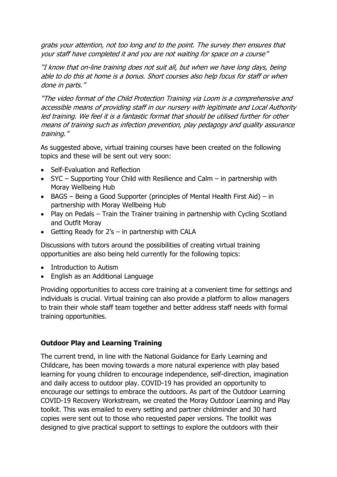grabs your attention, not too long and to the point. The survey then ensures that your staff have completed it and you are not waiting for space on a course"

"I know that on-line training does not suit all, but when we have long days, being able to do this at home is a bonus. Short courses also help focus for staff or when done in parts."

"The video format of the Child Protection Training via Loom is a comprehensive and accessible means of providing staff in our nursery with legitimate and Local Authority led training. We feel it is a fantastic format that should be utilised further for other means of training such as infection prevention, play pedagogy and quality assurance training."

As suggested above, virtual training courses have been created on the following topics and these will be sent out very soon:

- Self-Evaluation and Reflection
- SYC Supporting Your Child with Resilience and Calm in partnership with Moray Wellbeing Hub
- BAGS Being a Good Supporter (principles of Mental Health First Aid) in partnership with Moray Wellbeing Hub
- Play on Pedals Train the Trainer training in partnership with Cycling Scotland and Outfit Moray
- Getting Ready for  $2's in$  partnership with CALA

Discussions with tutors around the possibilities of creating virtual training opportunities are also being held currently for the following topics:

- Introduction to Autism
- English as an Additional Language

Providing opportunities to access core training at a convenient time for settings and individuals is crucial. Virtual training can also provide a platform to allow managers to train their whole staff team together and better address staff needs with formal training opportunities.

### **Outdoor Play and Learning Training**

The current trend, in line with the National Guidance for Early Learning and Childcare, has been moving towards a more natural experience with play based learning for young children to encourage independence, self-direction, imagination and daily access to outdoor play. COVID-19 has provided an opportunity to encourage our settings to embrace the outdoors. As part of the Outdoor Learning COVID-19 Recovery Workstream, we created the Moray Outdoor Learning and Play toolkit. This was emailed to every setting and partner childminder and 30 hard copies were sent out to those who requested paper versions. The toolkit was designed to give practical support to settings to explore the outdoors with their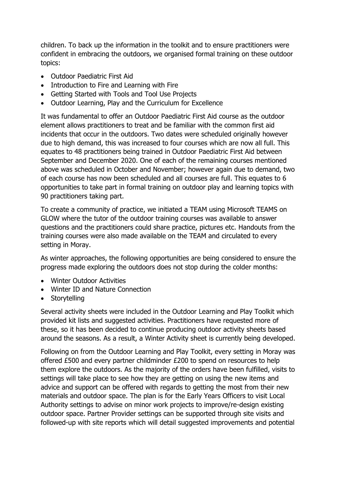children. To back up the information in the toolkit and to ensure practitioners were confident in embracing the outdoors, we organised formal training on these outdoor topics:

- Outdoor Paediatric First Aid
- Introduction to Fire and Learning with Fire
- Getting Started with Tools and Tool Use Projects
- Outdoor Learning, Play and the Curriculum for Excellence

It was fundamental to offer an Outdoor Paediatric First Aid course as the outdoor element allows practitioners to treat and be familiar with the common first aid incidents that occur in the outdoors. Two dates were scheduled originally however due to high demand, this was increased to four courses which are now all full. This equates to 48 practitioners being trained in Outdoor Paediatric First Aid between September and December 2020. One of each of the remaining courses mentioned above was scheduled in October and November; however again due to demand, two of each course has now been scheduled and all courses are full. This equates to 6 opportunities to take part in formal training on outdoor play and learning topics with 90 practitioners taking part.

To create a community of practice, we initiated a TEAM using Microsoft TEAMS on GLOW where the tutor of the outdoor training courses was available to answer questions and the practitioners could share practice, pictures etc. Handouts from the training courses were also made available on the TEAM and circulated to every setting in Moray.

As winter approaches, the following opportunities are being considered to ensure the progress made exploring the outdoors does not stop during the colder months:

- Winter Outdoor Activities
- Winter ID and Nature Connection
- Storytelling

Several activity sheets were included in the Outdoor Learning and Play Toolkit which provided kit lists and suggested activities. Practitioners have requested more of these, so it has been decided to continue producing outdoor activity sheets based around the seasons. As a result, a Winter Activity sheet is currently being developed.

Following on from the Outdoor Learning and Play Toolkit, every setting in Moray was offered £500 and every partner childminder £200 to spend on resources to help them explore the outdoors. As the majority of the orders have been fulfilled, visits to settings will take place to see how they are getting on using the new items and advice and support can be offered with regards to getting the most from their new materials and outdoor space. The plan is for the Early Years Officers to visit Local Authority settings to advise on minor work projects to improve/re-design existing outdoor space. Partner Provider settings can be supported through site visits and followed-up with site reports which will detail suggested improvements and potential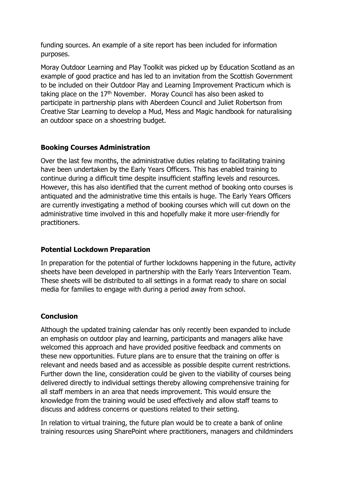funding sources. An example of a site report has been included for information purposes.

Moray Outdoor Learning and Play Toolkit was picked up by Education Scotland as an example of good practice and has led to an invitation from the Scottish Government to be included on their Outdoor Play and Learning Improvement Practicum which is taking place on the  $17<sup>th</sup>$  November. Moray Council has also been asked to participate in partnership plans with Aberdeen Council and Juliet Robertson from Creative Star Learning to develop a Mud, Mess and Magic handbook for naturalising an outdoor space on a shoestring budget.

### **Booking Courses Administration**

Over the last few months, the administrative duties relating to facilitating training have been undertaken by the Early Years Officers. This has enabled training to continue during a difficult time despite insufficient staffing levels and resources. However, this has also identified that the current method of booking onto courses is antiquated and the administrative time this entails is huge. The Early Years Officers are currently investigating a method of booking courses which will cut down on the administrative time involved in this and hopefully make it more user-friendly for practitioners.

# **Potential Lockdown Preparation**

In preparation for the potential of further lockdowns happening in the future, activity sheets have been developed in partnership with the Early Years Intervention Team. These sheets will be distributed to all settings in a format ready to share on social media for families to engage with during a period away from school.

### **Conclusion**

Although the updated training calendar has only recently been expanded to include an emphasis on outdoor play and learning, participants and managers alike have welcomed this approach and have provided positive feedback and comments on these new opportunities. Future plans are to ensure that the training on offer is relevant and needs based and as accessible as possible despite current restrictions. Further down the line, consideration could be given to the viability of courses being delivered directly to individual settings thereby allowing comprehensive training for all staff members in an area that needs improvement. This would ensure the knowledge from the training would be used effectively and allow staff teams to discuss and address concerns or questions related to their setting.

In relation to virtual training, the future plan would be to create a bank of online training resources using SharePoint where practitioners, managers and childminders